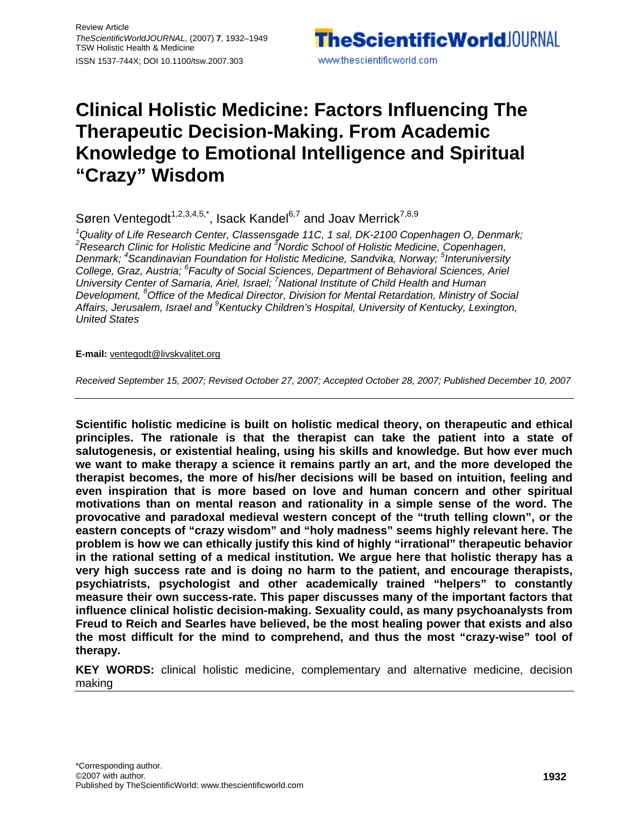

# **Clinical Holistic Medicine: Factors Influencing The Therapeutic Decision-Making. From Academic Knowledge to Emotional Intelligence and Spiritual "Crazy" Wisdom**

Søren Ventegodt<sup>1,2,3,4,5,\*</sup>, Isack Kandel<sup>6,7</sup> and Joav Merrick<sup>7,8,9</sup>

<sup>1</sup>Quality of Life Research Center, Classensgade 11C, 1 sal, DK-2100 Copenhagen O, Denmark;<br><sup>2</sup> Besearch Clinis for Helistic Medicine and <sup>3</sup>Nerdie Sebeel of Helistic Medicine, Cenephagen *Research Clinic for Holistic Medicine and <sup>3</sup> Nordic School of Holistic Medicine, Copenhagen, Denmark; 4 Scandinavian Foundation for Holistic Medicine, Sandvika, Norway; <sup>5</sup> Interuniversity College, Graz, Austria; <sup>6</sup> Faculty of Social Sciences, Department of Behavioral Sciences, Ariel University Center of Samaria, Ariel, Israel; <sup>7</sup> National Institute of Child Health and Human Development, <sup>8</sup> Office of the Medical Director, Division for Mental Retardation, Ministry of Social Affairs, Jerusalem, Israel and <sup>9</sup> Kentucky Children's Hospital, University of Kentucky, Lexington, United States* 

#### **E-mail:** ventegodt@livskvalitet.org

*Received September 15, 2007; Revised October 27, 2007; Accepted October 28, 2007; Published December 10, 2007*

**Scientific holistic medicine is built on holistic medical theory, on therapeutic and ethical principles. The rationale is that the therapist can take the patient into a state of salutogenesis, or existential healing, using his skills and knowledge. But how ever much we want to make therapy a science it remains partly an art, and the more developed the therapist becomes, the more of his/her decisions will be based on intuition, feeling and even inspiration that is more based on love and human concern and other spiritual motivations than on mental reason and rationality in a simple sense of the word. The provocative and paradoxal medieval western concept of the "truth telling clown", or the eastern concepts of "crazy wisdom" and "holy madness" seems highly relevant here. The problem is how we can ethically justify this kind of highly "irrational" therapeutic behavior in the rational setting of a medical institution. We argue here that holistic therapy has a very high success rate and is doing no harm to the patient, and encourage therapists, psychiatrists, psychologist and other academically trained "helpers" to constantly measure their own success-rate. This paper discusses many of the important factors that influence clinical holistic decision-making. Sexuality could, as many psychoanalysts from Freud to Reich and Searles have believed, be the most healing power that exists and also the most difficult for the mind to comprehend, and thus the most "crazy-wise" tool of therapy.** 

**KEY WORDS:** clinical holistic medicine, complementary and alternative medicine, decision making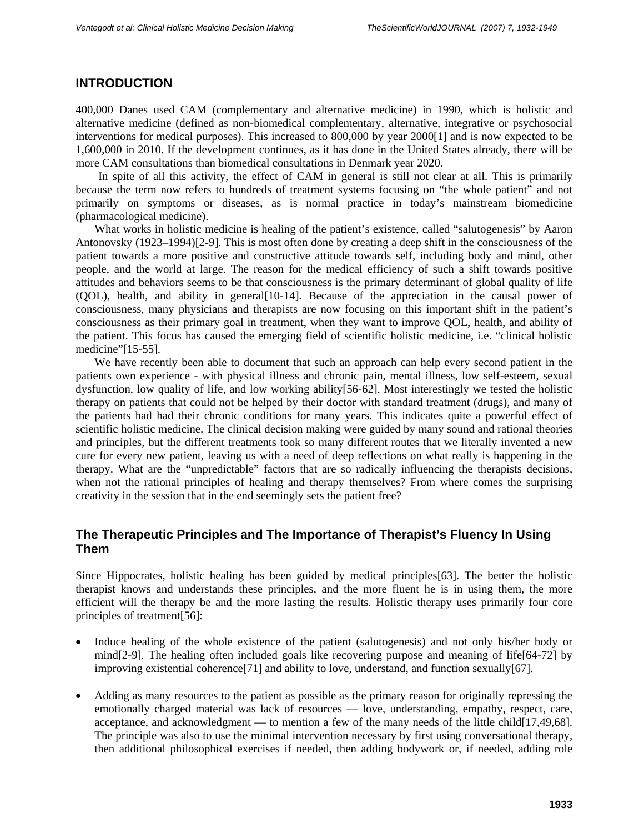# **INTRODUCTION**

400,000 Danes used CAM (complementary and alternative medicine) in 1990, which is holistic and alternative medicine (defined as non-biomedical complementary, alternative, integrative or psychosocial interventions for medical purposes). This increased to 800,000 by year 2000[1] and is now expected to be 1,600,000 in 2010. If the development continues, as it has done in the United States already, there will be more CAM consultations than biomedical consultations in Denmark year 2020.

 In spite of all this activity, the effect of CAM in general is still not clear at all. This is primarily because the term now refers to hundreds of treatment systems focusing on "the whole patient" and not primarily on symptoms or diseases, as is normal practice in today's mainstream biomedicine (pharmacological medicine).

What works in holistic medicine is healing of the patient's existence, called "salutogenesis" by Aaron Antonovsky (1923–1994)[2-9]. This is most often done by creating a deep shift in the consciousness of the patient towards a more positive and constructive attitude towards self, including body and mind, other people, and the world at large. The reason for the medical efficiency of such a shift towards positive attitudes and behaviors seems to be that consciousness is the primary determinant of global quality of life (QOL), health, and ability in general[10-14]. Because of the appreciation in the causal power of consciousness, many physicians and therapists are now focusing on this important shift in the patient's consciousness as their primary goal in treatment, when they want to improve QOL, health, and ability of the patient. This focus has caused the emerging field of scientific holistic medicine, i.e. "clinical holistic medicine"[15-55].

We have recently been able to document that such an approach can help every second patient in the patients own experience - with physical illness and chronic pain, mental illness, low self-esteem, sexual dysfunction, low quality of life, and low working ability[56-62]. Most interestingly we tested the holistic therapy on patients that could not be helped by their doctor with standard treatment (drugs), and many of the patients had had their chronic conditions for many years. This indicates quite a powerful effect of scientific holistic medicine. The clinical decision making were guided by many sound and rational theories and principles, but the different treatments took so many different routes that we literally invented a new cure for every new patient, leaving us with a need of deep reflections on what really is happening in the therapy. What are the "unpredictable" factors that are so radically influencing the therapists decisions, when not the rational principles of healing and therapy themselves? From where comes the surprising creativity in the session that in the end seemingly sets the patient free?

# **The Therapeutic Principles and The Importance of Therapist's Fluency In Using Them**

Since Hippocrates, holistic healing has been guided by medical principles[63]. The better the holistic therapist knows and understands these principles, and the more fluent he is in using them, the more efficient will the therapy be and the more lasting the results. Holistic therapy uses primarily four core principles of treatment[56]:

- Induce healing of the whole existence of the patient (salutogenesis) and not only his/her body or mind[2-9]. The healing often included goals like recovering purpose and meaning of life[64-72] by improving existential coherence[71] and ability to love, understand, and function sexually[67].
- Adding as many resources to the patient as possible as the primary reason for originally repressing the emotionally charged material was lack of resources — love, understanding, empathy, respect, care, acceptance, and acknowledgment — to mention a few of the many needs of the little child[17,49,68]. The principle was also to use the minimal intervention necessary by first using conversational therapy, then additional philosophical exercises if needed, then adding bodywork or, if needed, adding role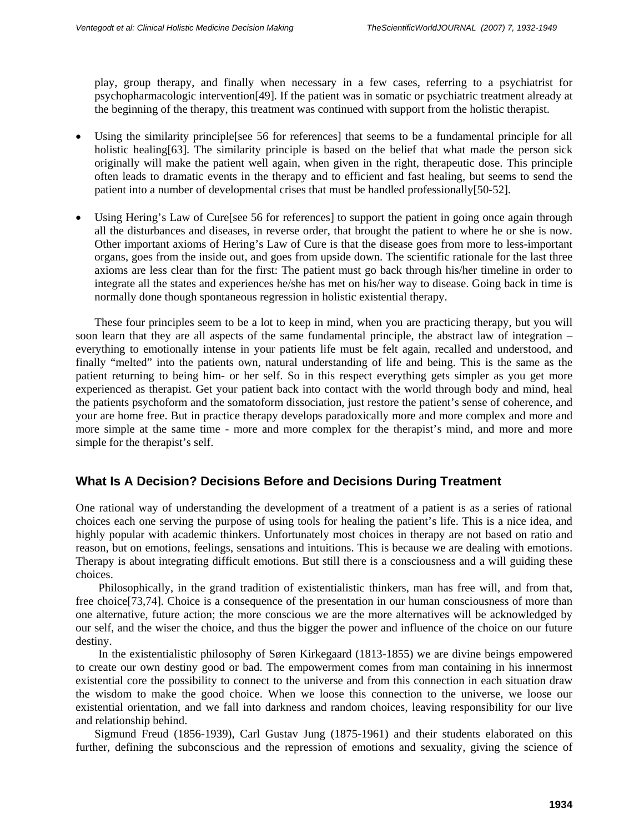play, group therapy, and finally when necessary in a few cases, referring to a psychiatrist for psychopharmacologic intervention[49]. If the patient was in somatic or psychiatric treatment already at the beginning of the therapy, this treatment was continued with support from the holistic therapist.

- Using the similarity principle [see 56 for references] that seems to be a fundamental principle for all holistic healing[63]. The similarity principle is based on the belief that what made the person sick originally will make the patient well again, when given in the right, therapeutic dose. This principle often leads to dramatic events in the therapy and to efficient and fast healing, but seems to send the patient into a number of developmental crises that must be handled professionally[50-52].
- Using Hering's Law of Cure [see 56 for references] to support the patient in going once again through all the disturbances and diseases, in reverse order, that brought the patient to where he or she is now. Other important axioms of Hering's Law of Cure is that the disease goes from more to less-important organs, goes from the inside out, and goes from upside down. The scientific rationale for the last three axioms are less clear than for the first: The patient must go back through his/her timeline in order to integrate all the states and experiences he/she has met on his/her way to disease. Going back in time is normally done though spontaneous regression in holistic existential therapy.

These four principles seem to be a lot to keep in mind, when you are practicing therapy, but you will soon learn that they are all aspects of the same fundamental principle, the abstract law of integration – everything to emotionally intense in your patients life must be felt again, recalled and understood, and finally "melted" into the patients own, natural understanding of life and being. This is the same as the patient returning to being him- or her self. So in this respect everything gets simpler as you get more experienced as therapist. Get your patient back into contact with the world through body and mind, heal the patients psychoform and the somatoform dissociation, just restore the patient's sense of coherence, and your are home free. But in practice therapy develops paradoxically more and more complex and more and more simple at the same time - more and more complex for the therapist's mind, and more and more simple for the therapist's self.

# **What Is A Decision? Decisions Before and Decisions During Treatment**

One rational way of understanding the development of a treatment of a patient is as a series of rational choices each one serving the purpose of using tools for healing the patient's life. This is a nice idea, and highly popular with academic thinkers. Unfortunately most choices in therapy are not based on ratio and reason, but on emotions, feelings, sensations and intuitions. This is because we are dealing with emotions. Therapy is about integrating difficult emotions. But still there is a consciousness and a will guiding these choices.

 Philosophically, in the grand tradition of existentialistic thinkers, man has free will, and from that, free choice[73,74]. Choice is a consequence of the presentation in our human consciousness of more than one alternative, future action; the more conscious we are the more alternatives will be acknowledged by our self, and the wiser the choice, and thus the bigger the power and influence of the choice on our future destiny.

 In the existentialistic philosophy of Søren Kirkegaard (1813-1855) we are divine beings empowered to create our own destiny good or bad. The empowerment comes from man containing in his innermost existential core the possibility to connect to the universe and from this connection in each situation draw the wisdom to make the good choice. When we loose this connection to the universe, we loose our existential orientation, and we fall into darkness and random choices, leaving responsibility for our live and relationship behind.

Sigmund Freud (1856-1939), Carl Gustav Jung (1875-1961) and their students elaborated on this further, defining the subconscious and the repression of emotions and sexuality, giving the science of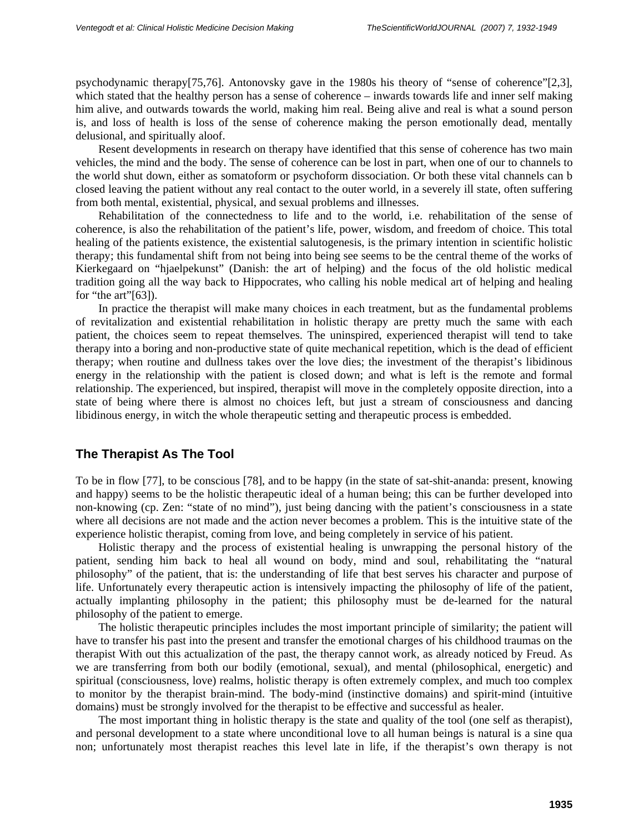psychodynamic therapy[75,76]. Antonovsky gave in the 1980s his theory of "sense of coherence"[2,3], which stated that the healthy person has a sense of coherence – inwards towards life and inner self making him alive, and outwards towards the world, making him real. Being alive and real is what a sound person is, and loss of health is loss of the sense of coherence making the person emotionally dead, mentally delusional, and spiritually aloof.

 Resent developments in research on therapy have identified that this sense of coherence has two main vehicles, the mind and the body. The sense of coherence can be lost in part, when one of our to channels to the world shut down, either as somatoform or psychoform dissociation. Or both these vital channels can b closed leaving the patient without any real contact to the outer world, in a severely ill state, often suffering from both mental, existential, physical, and sexual problems and illnesses.

 Rehabilitation of the connectedness to life and to the world, i.e. rehabilitation of the sense of coherence, is also the rehabilitation of the patient's life, power, wisdom, and freedom of choice. This total healing of the patients existence, the existential salutogenesis, is the primary intention in scientific holistic therapy; this fundamental shift from not being into being see seems to be the central theme of the works of Kierkegaard on "hjaelpekunst" (Danish: the art of helping) and the focus of the old holistic medical tradition going all the way back to Hippocrates, who calling his noble medical art of helping and healing for "the art"[63]).

 In practice the therapist will make many choices in each treatment, but as the fundamental problems of revitalization and existential rehabilitation in holistic therapy are pretty much the same with each patient, the choices seem to repeat themselves. The uninspired, experienced therapist will tend to take therapy into a boring and non-productive state of quite mechanical repetition, which is the dead of efficient therapy; when routine and dullness takes over the love dies; the investment of the therapist's libidinous energy in the relationship with the patient is closed down; and what is left is the remote and formal relationship. The experienced, but inspired, therapist will move in the completely opposite direction, into a state of being where there is almost no choices left, but just a stream of consciousness and dancing libidinous energy, in witch the whole therapeutic setting and therapeutic process is embedded.

# **The Therapist As The Tool**

To be in flow [77], to be conscious [78], and to be happy (in the state of sat-shit-ananda: present, knowing and happy) seems to be the holistic therapeutic ideal of a human being; this can be further developed into non-knowing (cp. Zen: "state of no mind"), just being dancing with the patient's consciousness in a state where all decisions are not made and the action never becomes a problem. This is the intuitive state of the experience holistic therapist, coming from love, and being completely in service of his patient.

 Holistic therapy and the process of existential healing is unwrapping the personal history of the patient, sending him back to heal all wound on body, mind and soul, rehabilitating the "natural philosophy" of the patient, that is: the understanding of life that best serves his character and purpose of life. Unfortunately every therapeutic action is intensively impacting the philosophy of life of the patient, actually implanting philosophy in the patient; this philosophy must be de-learned for the natural philosophy of the patient to emerge.

 The holistic therapeutic principles includes the most important principle of similarity; the patient will have to transfer his past into the present and transfer the emotional charges of his childhood traumas on the therapist With out this actualization of the past, the therapy cannot work, as already noticed by Freud. As we are transferring from both our bodily (emotional, sexual), and mental (philosophical, energetic) and spiritual (consciousness, love) realms, holistic therapy is often extremely complex, and much too complex to monitor by the therapist brain-mind. The body-mind (instinctive domains) and spirit-mind (intuitive domains) must be strongly involved for the therapist to be effective and successful as healer.

 The most important thing in holistic therapy is the state and quality of the tool (one self as therapist), and personal development to a state where unconditional love to all human beings is natural is a sine qua non; unfortunately most therapist reaches this level late in life, if the therapist's own therapy is not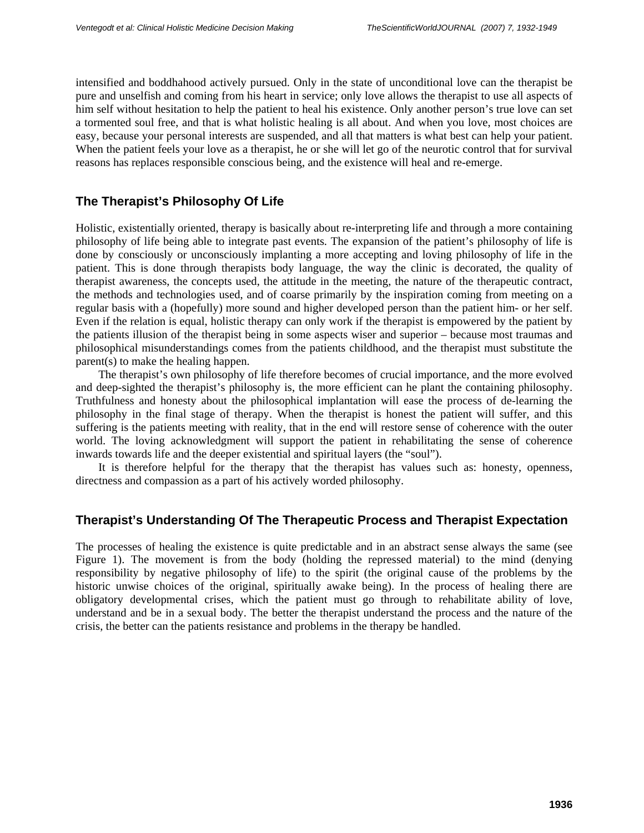intensified and boddhahood actively pursued. Only in the state of unconditional love can the therapist be pure and unselfish and coming from his heart in service; only love allows the therapist to use all aspects of him self without hesitation to help the patient to heal his existence. Only another person's true love can set a tormented soul free, and that is what holistic healing is all about. And when you love, most choices are easy, because your personal interests are suspended, and all that matters is what best can help your patient. When the patient feels your love as a therapist, he or she will let go of the neurotic control that for survival reasons has replaces responsible conscious being, and the existence will heal and re-emerge.

# **The Therapist's Philosophy Of Life**

Holistic, existentially oriented, therapy is basically about re-interpreting life and through a more containing philosophy of life being able to integrate past events. The expansion of the patient's philosophy of life is done by consciously or unconsciously implanting a more accepting and loving philosophy of life in the patient. This is done through therapists body language, the way the clinic is decorated, the quality of therapist awareness, the concepts used, the attitude in the meeting, the nature of the therapeutic contract, the methods and technologies used, and of coarse primarily by the inspiration coming from meeting on a regular basis with a (hopefully) more sound and higher developed person than the patient him- or her self. Even if the relation is equal, holistic therapy can only work if the therapist is empowered by the patient by the patients illusion of the therapist being in some aspects wiser and superior – because most traumas and philosophical misunderstandings comes from the patients childhood, and the therapist must substitute the parent(s) to make the healing happen.

 The therapist's own philosophy of life therefore becomes of crucial importance, and the more evolved and deep-sighted the therapist's philosophy is, the more efficient can he plant the containing philosophy. Truthfulness and honesty about the philosophical implantation will ease the process of de-learning the philosophy in the final stage of therapy. When the therapist is honest the patient will suffer, and this suffering is the patients meeting with reality, that in the end will restore sense of coherence with the outer world. The loving acknowledgment will support the patient in rehabilitating the sense of coherence inwards towards life and the deeper existential and spiritual layers (the "soul").

 It is therefore helpful for the therapy that the therapist has values such as: honesty, openness, directness and compassion as a part of his actively worded philosophy.

# **Therapist's Understanding Of The Therapeutic Process and Therapist Expectation**

The processes of healing the existence is quite predictable and in an abstract sense always the same (see Figure 1). The movement is from the body (holding the repressed material) to the mind (denying responsibility by negative philosophy of life) to the spirit (the original cause of the problems by the historic unwise choices of the original, spiritually awake being). In the process of healing there are obligatory developmental crises, which the patient must go through to rehabilitate ability of love, understand and be in a sexual body. The better the therapist understand the process and the nature of the crisis, the better can the patients resistance and problems in the therapy be handled.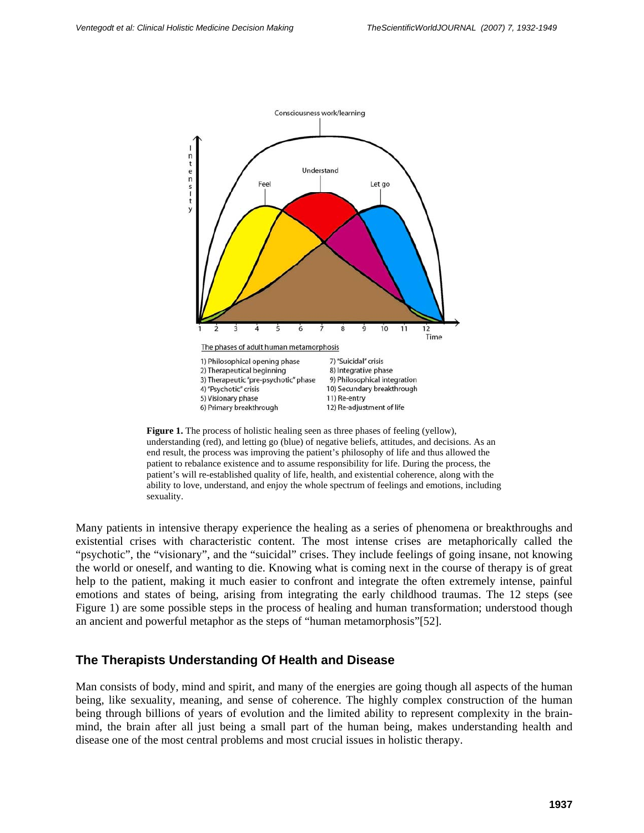

**Figure 1.** The process of holistic healing seen as three phases of feeling (yellow), understanding (red), and letting go (blue) of negative beliefs, attitudes, and decisions. As an end result, the process was improving the patient's philosophy of life and thus allowed the patient to rebalance existence and to assume responsibility for life. During the process, the patient's will re-established quality of life, health, and existential coherence, along with the ability to love, understand, and enjoy the whole spectrum of feelings and emotions, including sexuality.

Many patients in intensive therapy experience the healing as a series of phenomena or breakthroughs and existential crises with characteristic content. The most intense crises are metaphorically called the "psychotic", the "visionary", and the "suicidal" crises. They include feelings of going insane, not knowing the world or oneself, and wanting to die. Knowing what is coming next in the course of therapy is of great help to the patient, making it much easier to confront and integrate the often extremely intense, painful emotions and states of being, arising from integrating the early childhood traumas. The 12 steps (see Figure 1) are some possible steps in the process of healing and human transformation; understood though an ancient and powerful metaphor as the steps of "human metamorphosis"[52].

# **The Therapists Understanding Of Health and Disease**

Man consists of body, mind and spirit, and many of the energies are going though all aspects of the human being, like sexuality, meaning, and sense of coherence. The highly complex construction of the human being through billions of years of evolution and the limited ability to represent complexity in the brainmind, the brain after all just being a small part of the human being, makes understanding health and disease one of the most central problems and most crucial issues in holistic therapy.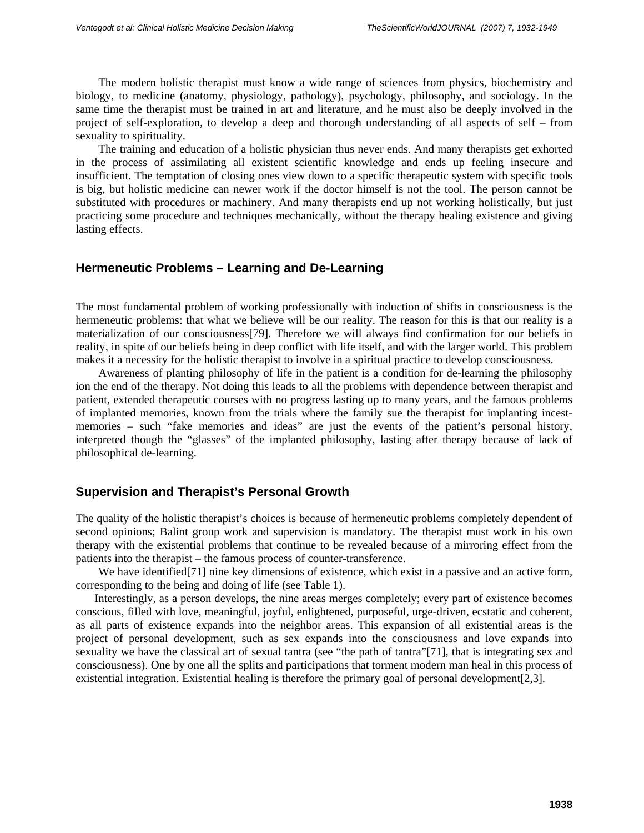The modern holistic therapist must know a wide range of sciences from physics, biochemistry and biology, to medicine (anatomy, physiology, pathology), psychology, philosophy, and sociology. In the same time the therapist must be trained in art and literature, and he must also be deeply involved in the project of self-exploration, to develop a deep and thorough understanding of all aspects of self – from sexuality to spirituality.

 The training and education of a holistic physician thus never ends. And many therapists get exhorted in the process of assimilating all existent scientific knowledge and ends up feeling insecure and insufficient. The temptation of closing ones view down to a specific therapeutic system with specific tools is big, but holistic medicine can newer work if the doctor himself is not the tool. The person cannot be substituted with procedures or machinery. And many therapists end up not working holistically, but just practicing some procedure and techniques mechanically, without the therapy healing existence and giving lasting effects.

#### **Hermeneutic Problems – Learning and De-Learning**

The most fundamental problem of working professionally with induction of shifts in consciousness is the hermeneutic problems: that what we believe will be our reality. The reason for this is that our reality is a materialization of our consciousness[79]. Therefore we will always find confirmation for our beliefs in reality, in spite of our beliefs being in deep conflict with life itself, and with the larger world. This problem makes it a necessity for the holistic therapist to involve in a spiritual practice to develop consciousness.

 Awareness of planting philosophy of life in the patient is a condition for de-learning the philosophy ion the end of the therapy. Not doing this leads to all the problems with dependence between therapist and patient, extended therapeutic courses with no progress lasting up to many years, and the famous problems of implanted memories, known from the trials where the family sue the therapist for implanting incestmemories – such "fake memories and ideas" are just the events of the patient's personal history, interpreted though the "glasses" of the implanted philosophy, lasting after therapy because of lack of philosophical de-learning.

#### **Supervision and Therapist's Personal Growth**

The quality of the holistic therapist's choices is because of hermeneutic problems completely dependent of second opinions; Balint group work and supervision is mandatory. The therapist must work in his own therapy with the existential problems that continue to be revealed because of a mirroring effect from the patients into the therapist – the famous process of counter-transference.

We have identified[71] nine key dimensions of existence, which exist in a passive and an active form, corresponding to the being and doing of life (see Table 1).

Interestingly, as a person develops, the nine areas merges completely; every part of existence becomes conscious, filled with love, meaningful, joyful, enlightened, purposeful, urge-driven, ecstatic and coherent, as all parts of existence expands into the neighbor areas. This expansion of all existential areas is the project of personal development, such as sex expands into the consciousness and love expands into sexuality we have the classical art of sexual tantra (see "the path of tantra"[71], that is integrating sex and consciousness). One by one all the splits and participations that torment modern man heal in this process of existential integration. Existential healing is therefore the primary goal of personal development[2,3].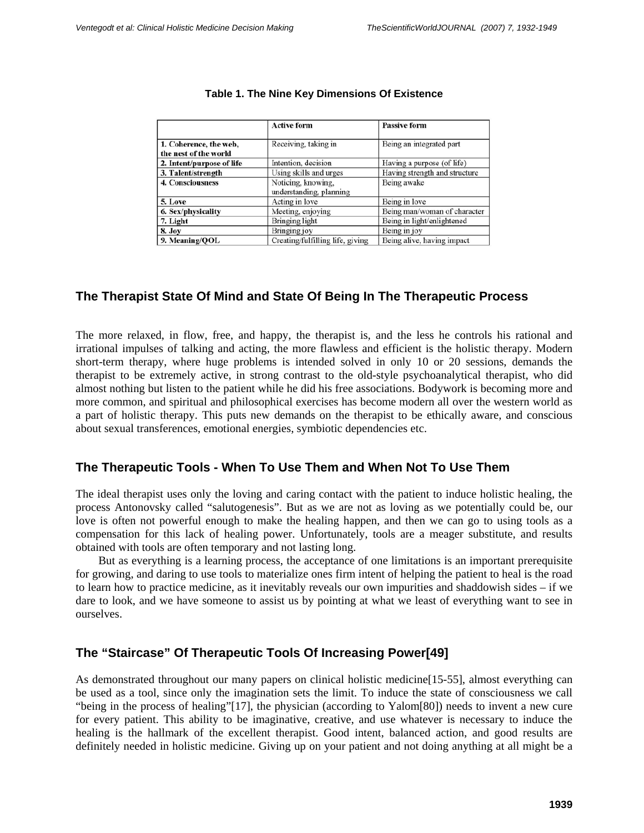|                           | <b>Active form</b>               | <b>Passive form</b>           |
|---------------------------|----------------------------------|-------------------------------|
| 1. Coherence, the web,    | Receiving, taking in             | Being an integrated part      |
| the nest of the world     |                                  |                               |
| 2. Intent/purpose of life | Intention, decision              | Having a purpose (of life)    |
| 3. Talent/strength        | Using skills and urges           | Having strength and structure |
| <b>4. Consciousness</b>   | Noticing, knowing.               | Being awake                   |
|                           | understanding, planning          |                               |
| 5. Love                   | Acting in love                   | Being in love                 |
| 6. Sex/physicality        | Meeting, enjoying                | Being man/woman of character  |
| 7. Light                  | Bringing light                   | Being in light/enlightened    |
| 8. Joy                    | Bringing joy                     | Being in joy                  |
| 9. Meaning/OOL            | Creating/fulfilling life, giving | Being alive, having impact    |

#### **Table 1. The Nine Key Dimensions Of Existence**

# **The Therapist State Of Mind and State Of Being In The Therapeutic Process**

The more relaxed, in flow, free, and happy, the therapist is, and the less he controls his rational and irrational impulses of talking and acting, the more flawless and efficient is the holistic therapy. Modern short-term therapy, where huge problems is intended solved in only 10 or 20 sessions, demands the therapist to be extremely active, in strong contrast to the old-style psychoanalytical therapist, who did almost nothing but listen to the patient while he did his free associations. Bodywork is becoming more and more common, and spiritual and philosophical exercises has become modern all over the western world as a part of holistic therapy. This puts new demands on the therapist to be ethically aware, and conscious about sexual transferences, emotional energies, symbiotic dependencies etc.

# **The Therapeutic Tools - When To Use Them and When Not To Use Them**

The ideal therapist uses only the loving and caring contact with the patient to induce holistic healing, the process Antonovsky called "salutogenesis". But as we are not as loving as we potentially could be, our love is often not powerful enough to make the healing happen, and then we can go to using tools as a compensation for this lack of healing power. Unfortunately, tools are a meager substitute, and results obtained with tools are often temporary and not lasting long.

 But as everything is a learning process, the acceptance of one limitations is an important prerequisite for growing, and daring to use tools to materialize ones firm intent of helping the patient to heal is the road to learn how to practice medicine, as it inevitably reveals our own impurities and shaddowish sides – if we dare to look, and we have someone to assist us by pointing at what we least of everything want to see in ourselves.

# **The "Staircase" Of Therapeutic Tools Of Increasing Power[49]**

As demonstrated throughout our many papers on clinical holistic medicine[15-55], almost everything can be used as a tool, since only the imagination sets the limit. To induce the state of consciousness we call "being in the process of healing"[17], the physician (according to Yalom[80]) needs to invent a new cure for every patient. This ability to be imaginative, creative, and use whatever is necessary to induce the healing is the hallmark of the excellent therapist. Good intent, balanced action, and good results are definitely needed in holistic medicine. Giving up on your patient and not doing anything at all might be a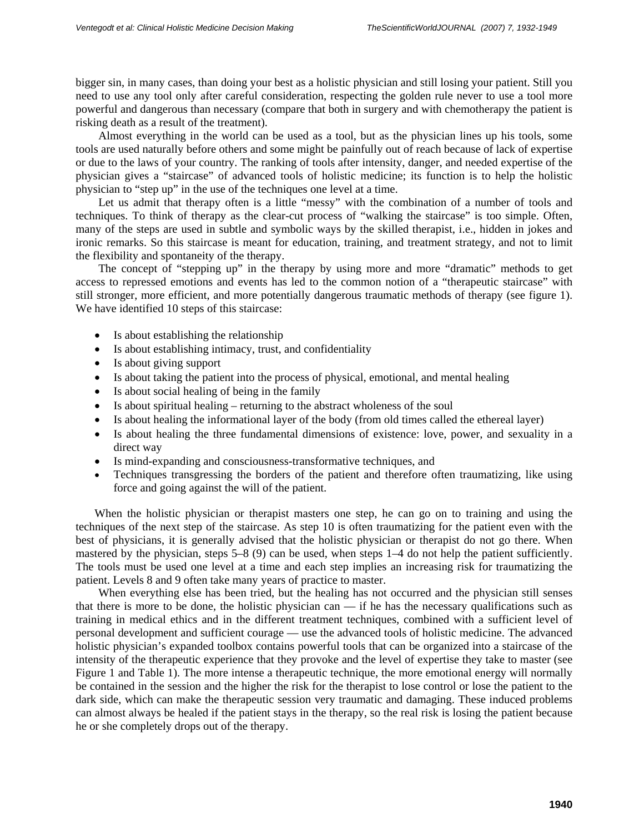bigger sin, in many cases, than doing your best as a holistic physician and still losing your patient. Still you need to use any tool only after careful consideration, respecting the golden rule never to use a tool more powerful and dangerous than necessary (compare that both in surgery and with chemotherapy the patient is risking death as a result of the treatment).

 Almost everything in the world can be used as a tool, but as the physician lines up his tools, some tools are used naturally before others and some might be painfully out of reach because of lack of expertise or due to the laws of your country. The ranking of tools after intensity, danger, and needed expertise of the physician gives a "staircase" of advanced tools of holistic medicine; its function is to help the holistic physician to "step up" in the use of the techniques one level at a time.

 Let us admit that therapy often is a little "messy" with the combination of a number of tools and techniques. To think of therapy as the clear-cut process of "walking the staircase" is too simple. Often, many of the steps are used in subtle and symbolic ways by the skilled therapist, i.e., hidden in jokes and ironic remarks. So this staircase is meant for education, training, and treatment strategy, and not to limit the flexibility and spontaneity of the therapy.

 The concept of "stepping up" in the therapy by using more and more "dramatic" methods to get access to repressed emotions and events has led to the common notion of a "therapeutic staircase" with still stronger, more efficient, and more potentially dangerous traumatic methods of therapy (see figure 1). We have identified 10 steps of this staircase:

- Is about establishing the relationship
- Is about establishing intimacy, trust, and confidentiality
- Is about giving support
- Is about taking the patient into the process of physical, emotional, and mental healing
- Is about social healing of being in the family
- Is about spiritual healing returning to the abstract wholeness of the soul
- Is about healing the informational layer of the body (from old times called the ethereal layer)
- Is about healing the three fundamental dimensions of existence: love, power, and sexuality in a direct way
- Is mind-expanding and consciousness-transformative techniques, and
- Techniques transgressing the borders of the patient and therefore often traumatizing, like using force and going against the will of the patient.

When the holistic physician or therapist masters one step, he can go on to training and using the techniques of the next step of the staircase. As step 10 is often traumatizing for the patient even with the best of physicians, it is generally advised that the holistic physician or therapist do not go there. When mastered by the physician, steps 5–8 (9) can be used, when steps 1–4 do not help the patient sufficiently. The tools must be used one level at a time and each step implies an increasing risk for traumatizing the patient. Levels 8 and 9 often take many years of practice to master.

 When everything else has been tried, but the healing has not occurred and the physician still senses that there is more to be done, the holistic physician can — if he has the necessary qualifications such as training in medical ethics and in the different treatment techniques, combined with a sufficient level of personal development and sufficient courage — use the advanced tools of holistic medicine. The advanced holistic physician's expanded toolbox contains powerful tools that can be organized into a staircase of the intensity of the therapeutic experience that they provoke and the level of expertise they take to master (see Figure 1 and Table 1). The more intense a therapeutic technique, the more emotional energy will normally be contained in the session and the higher the risk for the therapist to lose control or lose the patient to the dark side, which can make the therapeutic session very traumatic and damaging. These induced problems can almost always be healed if the patient stays in the therapy, so the real risk is losing the patient because he or she completely drops out of the therapy.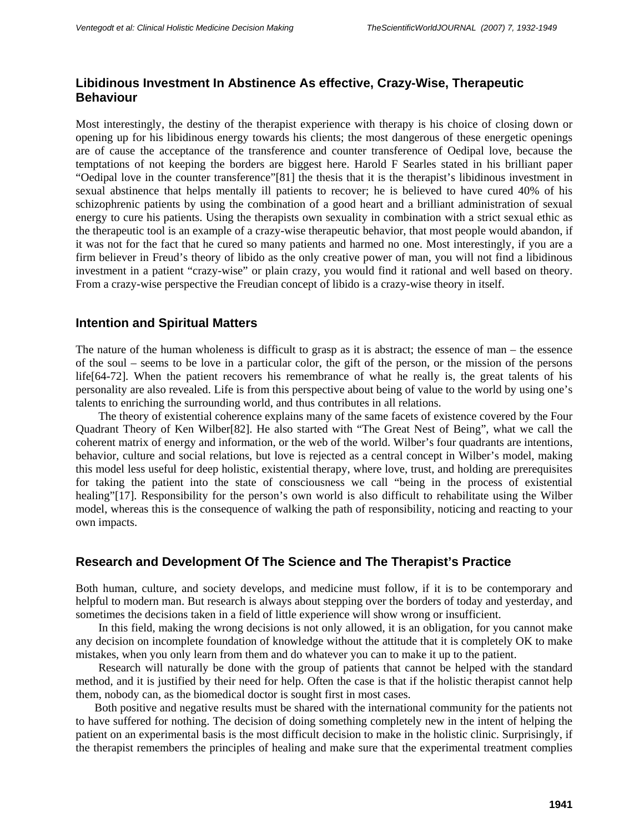# **Libidinous Investment In Abstinence As effective, Crazy-Wise, Therapeutic Behaviour**

Most interestingly, the destiny of the therapist experience with therapy is his choice of closing down or opening up for his libidinous energy towards his clients; the most dangerous of these energetic openings are of cause the acceptance of the transference and counter transference of Oedipal love, because the temptations of not keeping the borders are biggest here. Harold F Searles stated in his brilliant paper "Oedipal love in the counter transference"[81] the thesis that it is the therapist's libidinous investment in sexual abstinence that helps mentally ill patients to recover; he is believed to have cured 40% of his schizophrenic patients by using the combination of a good heart and a brilliant administration of sexual energy to cure his patients. Using the therapists own sexuality in combination with a strict sexual ethic as the therapeutic tool is an example of a crazy-wise therapeutic behavior, that most people would abandon, if it was not for the fact that he cured so many patients and harmed no one. Most interestingly, if you are a firm believer in Freud's theory of libido as the only creative power of man, you will not find a libidinous investment in a patient "crazy-wise" or plain crazy, you would find it rational and well based on theory. From a crazy-wise perspective the Freudian concept of libido is a crazy-wise theory in itself.

#### **Intention and Spiritual Matters**

The nature of the human wholeness is difficult to grasp as it is abstract; the essence of man – the essence of the soul – seems to be love in a particular color, the gift of the person, or the mission of the persons life[64-72]. When the patient recovers his remembrance of what he really is, the great talents of his personality are also revealed. Life is from this perspective about being of value to the world by using one's talents to enriching the surrounding world, and thus contributes in all relations.

 The theory of existential coherence explains many of the same facets of existence covered by the Four Quadrant Theory of Ken Wilber[82]. He also started with "The Great Nest of Being", what we call the coherent matrix of energy and information, or the web of the world. Wilber's four quadrants are intentions, behavior, culture and social relations, but love is rejected as a central concept in Wilber's model, making this model less useful for deep holistic, existential therapy, where love, trust, and holding are prerequisites for taking the patient into the state of consciousness we call "being in the process of existential healing"[17]. Responsibility for the person's own world is also difficult to rehabilitate using the Wilber model, whereas this is the consequence of walking the path of responsibility, noticing and reacting to your own impacts.

# **Research and Development Of The Science and The Therapist's Practice**

Both human, culture, and society develops, and medicine must follow, if it is to be contemporary and helpful to modern man. But research is always about stepping over the borders of today and yesterday, and sometimes the decisions taken in a field of little experience will show wrong or insufficient.

 In this field, making the wrong decisions is not only allowed, it is an obligation, for you cannot make any decision on incomplete foundation of knowledge without the attitude that it is completely OK to make mistakes, when you only learn from them and do whatever you can to make it up to the patient.

 Research will naturally be done with the group of patients that cannot be helped with the standard method, and it is justified by their need for help. Often the case is that if the holistic therapist cannot help them, nobody can, as the biomedical doctor is sought first in most cases.

Both positive and negative results must be shared with the international community for the patients not to have suffered for nothing. The decision of doing something completely new in the intent of helping the patient on an experimental basis is the most difficult decision to make in the holistic clinic. Surprisingly, if the therapist remembers the principles of healing and make sure that the experimental treatment complies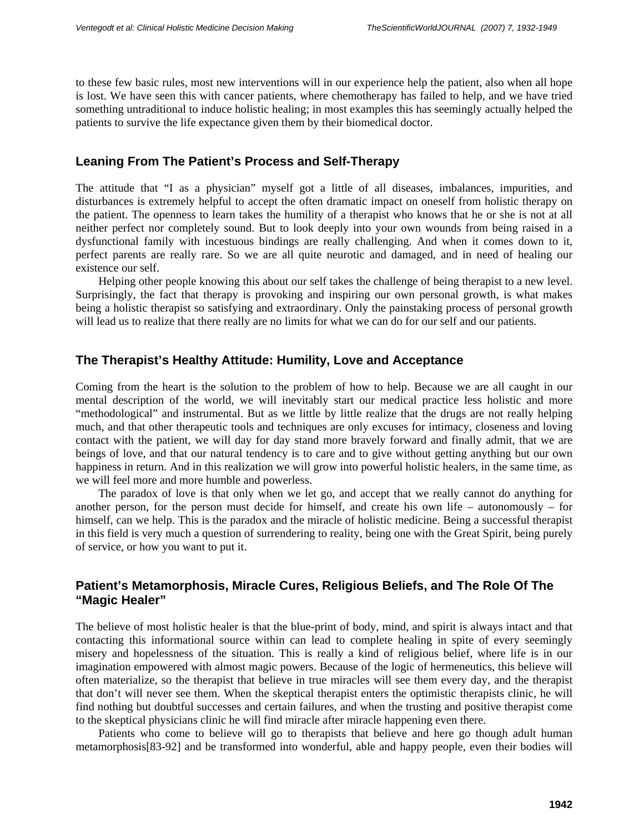to these few basic rules, most new interventions will in our experience help the patient, also when all hope is lost. We have seen this with cancer patients, where chemotherapy has failed to help, and we have tried something untraditional to induce holistic healing; in most examples this has seemingly actually helped the patients to survive the life expectance given them by their biomedical doctor.

#### **Leaning From The Patient's Process and Self-Therapy**

The attitude that "I as a physician" myself got a little of all diseases, imbalances, impurities, and disturbances is extremely helpful to accept the often dramatic impact on oneself from holistic therapy on the patient. The openness to learn takes the humility of a therapist who knows that he or she is not at all neither perfect nor completely sound. But to look deeply into your own wounds from being raised in a dysfunctional family with incestuous bindings are really challenging. And when it comes down to it, perfect parents are really rare. So we are all quite neurotic and damaged, and in need of healing our existence our self.

 Helping other people knowing this about our self takes the challenge of being therapist to a new level. Surprisingly, the fact that therapy is provoking and inspiring our own personal growth, is what makes being a holistic therapist so satisfying and extraordinary. Only the painstaking process of personal growth will lead us to realize that there really are no limits for what we can do for our self and our patients.

#### **The Therapist's Healthy Attitude: Humility, Love and Acceptance**

Coming from the heart is the solution to the problem of how to help. Because we are all caught in our mental description of the world, we will inevitably start our medical practice less holistic and more "methodological" and instrumental. But as we little by little realize that the drugs are not really helping much, and that other therapeutic tools and techniques are only excuses for intimacy, closeness and loving contact with the patient, we will day for day stand more bravely forward and finally admit, that we are beings of love, and that our natural tendency is to care and to give without getting anything but our own happiness in return. And in this realization we will grow into powerful holistic healers, in the same time, as we will feel more and more humble and powerless.

 The paradox of love is that only when we let go, and accept that we really cannot do anything for another person, for the person must decide for himself, and create his own life – autonomously – for himself, can we help. This is the paradox and the miracle of holistic medicine. Being a successful therapist in this field is very much a question of surrendering to reality, being one with the Great Spirit, being purely of service, or how you want to put it.

# **Patient's Metamorphosis, Miracle Cures, Religious Beliefs, and The Role Of The "Magic Healer"**

The believe of most holistic healer is that the blue-print of body, mind, and spirit is always intact and that contacting this informational source within can lead to complete healing in spite of every seemingly misery and hopelessness of the situation. This is really a kind of religious belief, where life is in our imagination empowered with almost magic powers. Because of the logic of hermeneutics, this believe will often materialize, so the therapist that believe in true miracles will see them every day, and the therapist that don't will never see them. When the skeptical therapist enters the optimistic therapists clinic, he will find nothing but doubtful successes and certain failures, and when the trusting and positive therapist come to the skeptical physicians clinic he will find miracle after miracle happening even there.

 Patients who come to believe will go to therapists that believe and here go though adult human metamorphosis[83-92] and be transformed into wonderful, able and happy people, even their bodies will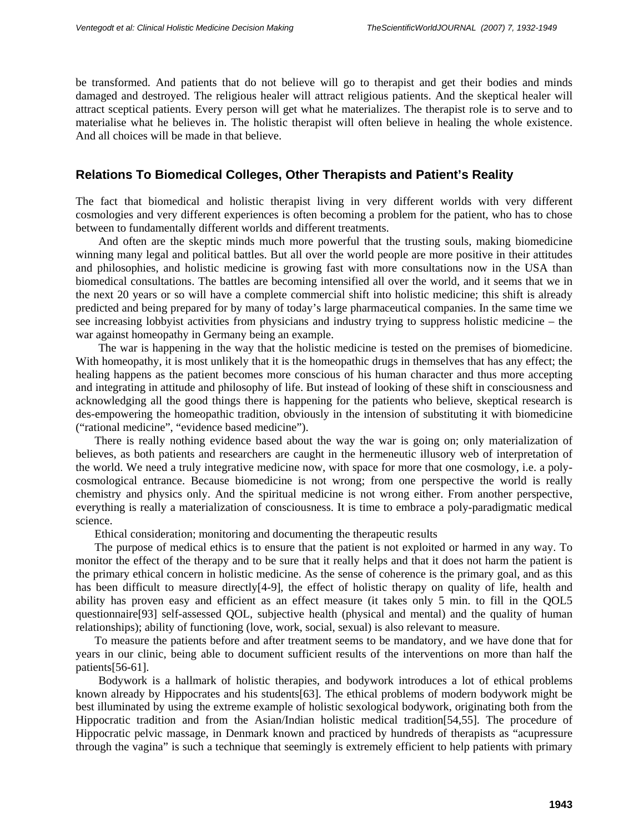be transformed. And patients that do not believe will go to therapist and get their bodies and minds damaged and destroyed. The religious healer will attract religious patients. And the skeptical healer will attract sceptical patients. Every person will get what he materializes. The therapist role is to serve and to materialise what he believes in. The holistic therapist will often believe in healing the whole existence. And all choices will be made in that believe.

#### **Relations To Biomedical Colleges, Other Therapists and Patient's Reality**

The fact that biomedical and holistic therapist living in very different worlds with very different cosmologies and very different experiences is often becoming a problem for the patient, who has to chose between to fundamentally different worlds and different treatments.

 And often are the skeptic minds much more powerful that the trusting souls, making biomedicine winning many legal and political battles. But all over the world people are more positive in their attitudes and philosophies, and holistic medicine is growing fast with more consultations now in the USA than biomedical consultations. The battles are becoming intensified all over the world, and it seems that we in the next 20 years or so will have a complete commercial shift into holistic medicine; this shift is already predicted and being prepared for by many of today's large pharmaceutical companies. In the same time we see increasing lobbyist activities from physicians and industry trying to suppress holistic medicine – the war against homeopathy in Germany being an example.

 The war is happening in the way that the holistic medicine is tested on the premises of biomedicine. With homeopathy, it is most unlikely that it is the homeopathic drugs in themselves that has any effect; the healing happens as the patient becomes more conscious of his human character and thus more accepting and integrating in attitude and philosophy of life. But instead of looking of these shift in consciousness and acknowledging all the good things there is happening for the patients who believe, skeptical research is des-empowering the homeopathic tradition, obviously in the intension of substituting it with biomedicine ("rational medicine", "evidence based medicine").

There is really nothing evidence based about the way the war is going on; only materialization of believes, as both patients and researchers are caught in the hermeneutic illusory web of interpretation of the world. We need a truly integrative medicine now, with space for more that one cosmology, i.e. a polycosmological entrance. Because biomedicine is not wrong; from one perspective the world is really chemistry and physics only. And the spiritual medicine is not wrong either. From another perspective, everything is really a materialization of consciousness. It is time to embrace a poly-paradigmatic medical science.

Ethical consideration; monitoring and documenting the therapeutic results

The purpose of medical ethics is to ensure that the patient is not exploited or harmed in any way. To monitor the effect of the therapy and to be sure that it really helps and that it does not harm the patient is the primary ethical concern in holistic medicine. As the sense of coherence is the primary goal, and as this has been difficult to measure directly<sup>[4-9]</sup>, the effect of holistic therapy on quality of life, health and ability has proven easy and efficient as an effect measure (it takes only 5 min. to fill in the QOL5 questionnaire[93] self-assessed QOL, subjective health (physical and mental) and the quality of human relationships); ability of functioning (love, work, social, sexual) is also relevant to measure.

To measure the patients before and after treatment seems to be mandatory, and we have done that for years in our clinic, being able to document sufficient results of the interventions on more than half the patients[56-61].

 Bodywork is a hallmark of holistic therapies, and bodywork introduces a lot of ethical problems known already by Hippocrates and his students[63]. The ethical problems of modern bodywork might be best illuminated by using the extreme example of holistic sexological bodywork, originating both from the Hippocratic tradition and from the Asian/Indian holistic medical tradition[54,55]. The procedure of Hippocratic pelvic massage, in Denmark known and practiced by hundreds of therapists as "acupressure through the vagina" is such a technique that seemingly is extremely efficient to help patients with primary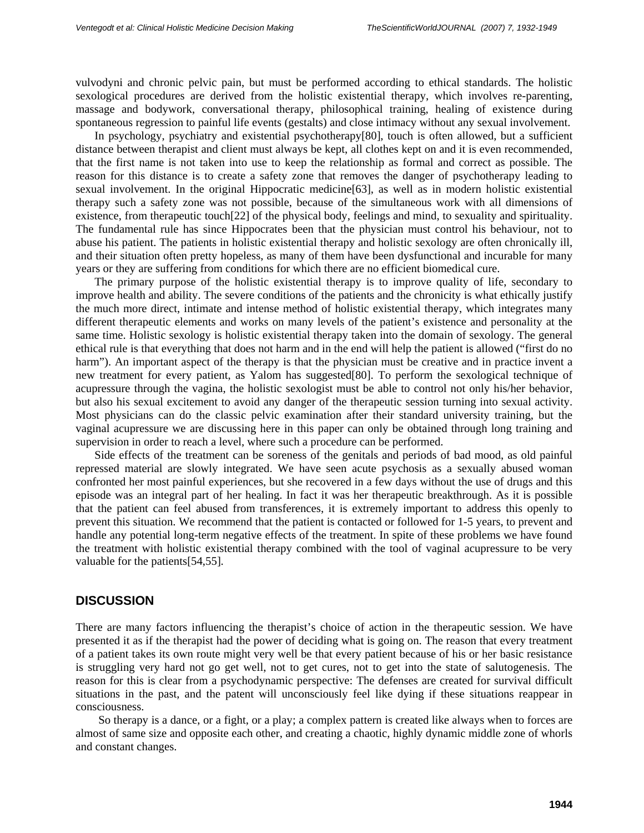vulvodyni and chronic pelvic pain, but must be performed according to ethical standards. The holistic sexological procedures are derived from the holistic existential therapy, which involves re-parenting, massage and bodywork, conversational therapy, philosophical training, healing of existence during spontaneous regression to painful life events (gestalts) and close intimacy without any sexual involvement.

In psychology, psychiatry and existential psychotherapy[80], touch is often allowed, but a sufficient distance between therapist and client must always be kept, all clothes kept on and it is even recommended, that the first name is not taken into use to keep the relationship as formal and correct as possible. The reason for this distance is to create a safety zone that removes the danger of psychotherapy leading to sexual involvement. In the original Hippocratic medicine[63], as well as in modern holistic existential therapy such a safety zone was not possible, because of the simultaneous work with all dimensions of existence, from therapeutic touch[22] of the physical body, feelings and mind, to sexuality and spirituality. The fundamental rule has since Hippocrates been that the physician must control his behaviour, not to abuse his patient. The patients in holistic existential therapy and holistic sexology are often chronically ill, and their situation often pretty hopeless, as many of them have been dysfunctional and incurable for many years or they are suffering from conditions for which there are no efficient biomedical cure.

The primary purpose of the holistic existential therapy is to improve quality of life, secondary to improve health and ability. The severe conditions of the patients and the chronicity is what ethically justify the much more direct, intimate and intense method of holistic existential therapy, which integrates many different therapeutic elements and works on many levels of the patient's existence and personality at the same time. Holistic sexology is holistic existential therapy taken into the domain of sexology. The general ethical rule is that everything that does not harm and in the end will help the patient is allowed ("first do no harm"). An important aspect of the therapy is that the physician must be creative and in practice invent a new treatment for every patient, as Yalom has suggested[80]. To perform the sexological technique of acupressure through the vagina, the holistic sexologist must be able to control not only his/her behavior, but also his sexual excitement to avoid any danger of the therapeutic session turning into sexual activity. Most physicians can do the classic pelvic examination after their standard university training, but the vaginal acupressure we are discussing here in this paper can only be obtained through long training and supervision in order to reach a level, where such a procedure can be performed.

Side effects of the treatment can be soreness of the genitals and periods of bad mood, as old painful repressed material are slowly integrated. We have seen acute psychosis as a sexually abused woman confronted her most painful experiences, but she recovered in a few days without the use of drugs and this episode was an integral part of her healing. In fact it was her therapeutic breakthrough. As it is possible that the patient can feel abused from transferences, it is extremely important to address this openly to prevent this situation. We recommend that the patient is contacted or followed for 1-5 years, to prevent and handle any potential long-term negative effects of the treatment. In spite of these problems we have found the treatment with holistic existential therapy combined with the tool of vaginal acupressure to be very valuable for the patients[54,55].

#### **DISCUSSION**

There are many factors influencing the therapist's choice of action in the therapeutic session. We have presented it as if the therapist had the power of deciding what is going on. The reason that every treatment of a patient takes its own route might very well be that every patient because of his or her basic resistance is struggling very hard not go get well, not to get cures, not to get into the state of salutogenesis. The reason for this is clear from a psychodynamic perspective: The defenses are created for survival difficult situations in the past, and the patent will unconsciously feel like dying if these situations reappear in consciousness.

 So therapy is a dance, or a fight, or a play; a complex pattern is created like always when to forces are almost of same size and opposite each other, and creating a chaotic, highly dynamic middle zone of whorls and constant changes.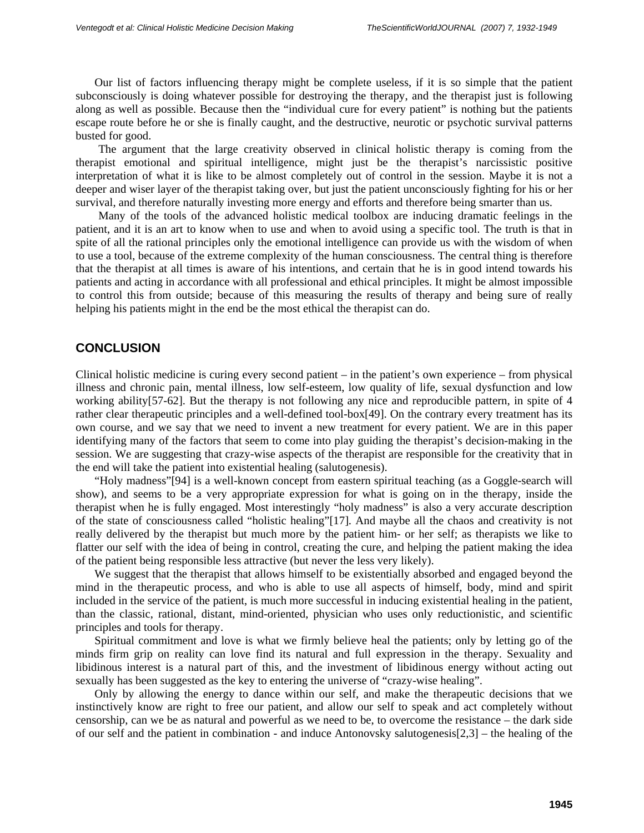Our list of factors influencing therapy might be complete useless, if it is so simple that the patient subconsciously is doing whatever possible for destroying the therapy, and the therapist just is following along as well as possible. Because then the "individual cure for every patient" is nothing but the patients escape route before he or she is finally caught, and the destructive, neurotic or psychotic survival patterns busted for good.

 The argument that the large creativity observed in clinical holistic therapy is coming from the therapist emotional and spiritual intelligence, might just be the therapist's narcissistic positive interpretation of what it is like to be almost completely out of control in the session. Maybe it is not a deeper and wiser layer of the therapist taking over, but just the patient unconsciously fighting for his or her survival, and therefore naturally investing more energy and efforts and therefore being smarter than us.

 Many of the tools of the advanced holistic medical toolbox are inducing dramatic feelings in the patient, and it is an art to know when to use and when to avoid using a specific tool. The truth is that in spite of all the rational principles only the emotional intelligence can provide us with the wisdom of when to use a tool, because of the extreme complexity of the human consciousness. The central thing is therefore that the therapist at all times is aware of his intentions, and certain that he is in good intend towards his patients and acting in accordance with all professional and ethical principles. It might be almost impossible to control this from outside; because of this measuring the results of therapy and being sure of really helping his patients might in the end be the most ethical the therapist can do.

# **CONCLUSION**

Clinical holistic medicine is curing every second patient – in the patient's own experience – from physical illness and chronic pain, mental illness, low self-esteem, low quality of life, sexual dysfunction and low working ability[57-62]. But the therapy is not following any nice and reproducible pattern, in spite of 4 rather clear therapeutic principles and a well-defined tool-box[49]. On the contrary every treatment has its own course, and we say that we need to invent a new treatment for every patient. We are in this paper identifying many of the factors that seem to come into play guiding the therapist's decision-making in the session. We are suggesting that crazy-wise aspects of the therapist are responsible for the creativity that in the end will take the patient into existential healing (salutogenesis).

"Holy madness"[94] is a well-known concept from eastern spiritual teaching (as a Goggle-search will show), and seems to be a very appropriate expression for what is going on in the therapy, inside the therapist when he is fully engaged. Most interestingly "holy madness" is also a very accurate description of the state of consciousness called "holistic healing"[17]. And maybe all the chaos and creativity is not really delivered by the therapist but much more by the patient him- or her self; as therapists we like to flatter our self with the idea of being in control, creating the cure, and helping the patient making the idea of the patient being responsible less attractive (but never the less very likely).

We suggest that the therapist that allows himself to be existentially absorbed and engaged beyond the mind in the therapeutic process, and who is able to use all aspects of himself, body, mind and spirit included in the service of the patient, is much more successful in inducing existential healing in the patient, than the classic, rational, distant, mind-oriented, physician who uses only reductionistic, and scientific principles and tools for therapy.

Spiritual commitment and love is what we firmly believe heal the patients; only by letting go of the minds firm grip on reality can love find its natural and full expression in the therapy. Sexuality and libidinous interest is a natural part of this, and the investment of libidinous energy without acting out sexually has been suggested as the key to entering the universe of "crazy-wise healing".

Only by allowing the energy to dance within our self, and make the therapeutic decisions that we instinctively know are right to free our patient, and allow our self to speak and act completely without censorship, can we be as natural and powerful as we need to be, to overcome the resistance – the dark side of our self and the patient in combination - and induce Antonovsky salutogenesis[2,3] – the healing of the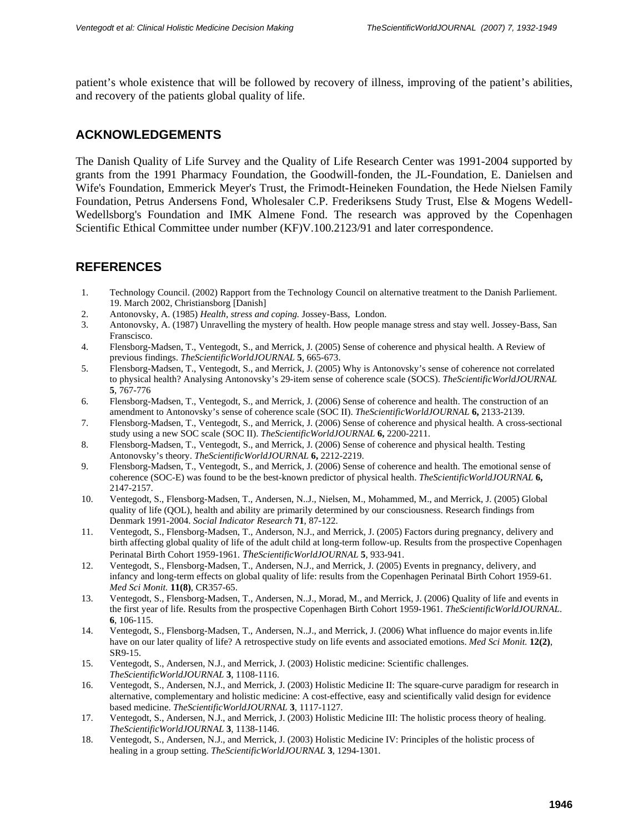patient's whole existence that will be followed by recovery of illness, improving of the patient's abilities, and recovery of the patients global quality of life.

# **ACKNOWLEDGEMENTS**

The Danish Quality of Life Survey and the Quality of Life Research Center was 1991-2004 supported by grants from the 1991 Pharmacy Foundation, the Goodwill-fonden, the JL-Foundation, E. Danielsen and Wife's Foundation, Emmerick Meyer's Trust, the Frimodt-Heineken Foundation, the Hede Nielsen Family Foundation, Petrus Andersens Fond, Wholesaler C.P. Frederiksens Study Trust, Else & Mogens Wedell-Wedellsborg's Foundation and IMK Almene Fond. The research was approved by the Copenhagen Scientific Ethical Committee under number (KF)V.100.2123/91 and later correspondence.

# **REFERENCES**

- 1. Technology Council. (2002) Rapport from the Technology Council on alternative treatment to the Danish Parliement. 19. March 2002, Christiansborg [Danish]
- 2. Antonovsky, A. (1985) *Health, stress and coping.* Jossey-Bass, London.
- 3. Antonovsky, A. (1987) Unravelling the mystery of health. How people manage stress and stay well. Jossey-Bass, San Franscisco.
- 4. Flensborg-Madsen, T., Ventegodt, S., and Merrick, J. (2005) Sense of coherence and physical health. A Review of previous findings. *TheScientificWorldJOURNAL* **5**, 665-673.
- 5. Flensborg-Madsen, T., Ventegodt, S., and Merrick, J. (2005) Why is Antonovsky's sense of coherence not correlated to physical health? Analysing Antonovsky's 29-item sense of coherence scale (SOCS). *TheScientificWorldJOURNAL*  **5**, 767-776
- 6. Flensborg-Madsen, T., Ventegodt, S., and Merrick, J. (2006) Sense of coherence and health. The construction of an amendment to Antonovsky's sense of coherence scale (SOC II). *TheScientificWorldJOURNAL* **6,** 2133-2139.
- 7. Flensborg-Madsen, T., Ventegodt, S., and Merrick, J. (2006) Sense of coherence and physical health. A cross-sectional study using a new SOC scale (SOC II). *TheScientificWorldJOURNAL* **6,** 2200-2211.
- 8. Flensborg-Madsen, T., Ventegodt, S., and Merrick, J. (2006) Sense of coherence and physical health. Testing Antonovsky's theory. *TheScientificWorldJOURNAL* **6,** 2212-2219.
- 9. Flensborg-Madsen, T., Ventegodt, S., and Merrick, J. (2006) Sense of coherence and health. The emotional sense of coherence (SOC-E) was found to be the best-known predictor of physical health. *TheScientificWorldJOURNAL* **6,**  2147-2157.
- 10. Ventegodt, S., Flensborg-Madsen, T., Andersen, N..J., Nielsen, M., Mohammed, M., and Merrick, J. (2005) Global quality of life (QOL), health and ability are primarily determined by our consciousness. Research findings from Denmark 1991-2004. *Social Indicator Research* **71**, 87-122.
- 11. Ventegodt, S., Flensborg-Madsen, T., Anderson, N.J., and Merrick, J. (2005) Factors during pregnancy, delivery and birth affecting global quality of life of the adult child at long-term follow-up. Results from the prospective Copenhagen Perinatal Birth Cohort 1959-1961. *TheScientificWorldJOURNAL* **5**, 933-941.
- 12. Ventegodt, S., Flensborg-Madsen, T., Andersen, N.J., and Merrick, J. (2005) Events in pregnancy, delivery, and infancy and long-term effects on global quality of life: results from the Copenhagen Perinatal Birth Cohort 1959-61. *Med Sci Monit.* **11(8)**, CR357-65.
- 13. Ventegodt, S., Flensborg-Madsen, T., Andersen, N..J., Morad, M., and Merrick, J. (2006) Quality of life and events in the first year of life. Results from the prospective Copenhagen Birth Cohort 1959-1961. *TheScientificWorldJOURNAL*. **6**, 106-115.
- 14. Ventegodt, S., Flensborg-Madsen, T., Andersen, N..J., and Merrick, J. (2006) What influence do major events in.life have on our later quality of life? A retrospective study on life events and associated emotions. *Med Sci Monit.* **12(2)**, SR9-15.
- 15. Ventegodt, S., Andersen, N.J., and Merrick, J. (2003) Holistic medicine: Scientific challenges. *TheScientificWorldJOURNAL* **3**, 1108-1116.
- 16. Ventegodt, S., Andersen, N.J., and Merrick, J. (2003) Holistic Medicine II: The square-curve paradigm for research in alternative, complementary and holistic medicine: A cost-effective, easy and scientifically valid design for evidence based medicine. *TheScientificWorldJOURNAL* **3**, 1117-1127.
- 17. Ventegodt, S., Andersen, N.J., and Merrick, J. (2003) Holistic Medicine III: The holistic process theory of healing. *TheScientificWorldJOURNAL* **3**, 1138-1146.
- 18. Ventegodt, S., Andersen, N.J., and Merrick, J. (2003) Holistic Medicine IV: Principles of the holistic process of healing in a group setting. *TheScientificWorldJOURNAL* **3**, 1294-1301.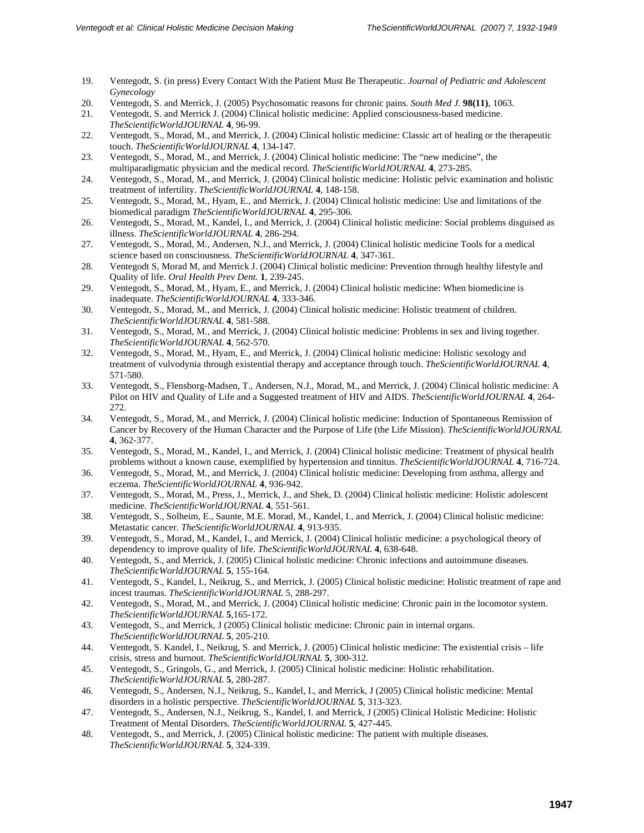- 19. Ventegodt, S. (in press) Every Contact With the Patient Must Be Therapeutic. *Journal of Pediatric and Adolescent Gynecology*
- 20. Ventegodt, S. and Merrick, J. (2005) Psychosomatic reasons for chronic pains. *South Med J.* **98(11)**, 1063.
- 21. Ventegodt, S. and Merrick J. (2004) Clinical holistic medicine: Applied consciousness-based medicine. *TheScientificWorldJOURNAL* **4**, 96-99.
- 22. Ventegodt, S., Morad, M., and Merrick, J. (2004) Clinical holistic medicine: Classic art of healing or the therapeutic touch. *TheScientificWorldJOURNAL* **4**, 134-147.
- 23. Ventegodt, S., Morad, M., and Merrick, J. (2004) Clinical holistic medicine: The "new medicine", the multiparadigmatic physician and the medical record. *TheScientificWorldJOURNAL* **4**, 273-285.
- 24. Ventegodt, S., Morad, M., and Merrick, J. (2004) Clinical holistic medicine: Holistic pelvic examination and holistic treatment of infertility. *TheScientificWorldJOURNAL* **4**, 148-158.
- 25. Ventegodt, S., Morad, M., Hyam, E., and Merrick, J. (2004) Clinical holistic medicine: Use and limitations of the biomedical paradigm *TheScientificWorldJOURNAL* **4**, 295-306.
- 26. Ventegodt, S., Morad, M., Kandel, I., and Merrick, J. (2004) Clinical holistic medicine: Social problems disguised as illness. *TheScientificWorldJOURNAL* **4**, 286-294.
- 27. Ventegodt, S., Morad, M., Andersen, N.J., and Merrick, J. (2004) Clinical holistic medicine Tools for a medical science based on consciousness. *TheScientificWorldJOURNAL* **4**, 347-361.
- 28. Ventegodt S, Morad M, and Merrick J. (2004) Clinical holistic medicine: Prevention through healthy lifestyle and Quality of life. *Oral Health Prev Dent.* **1**, 239-245.
- 29. Ventegodt, S., Morad, M., Hyam, E., and Merrick, J. (2004) Clinical holistic medicine: When biomedicine is inadequate. *TheScientificWorldJOURNAL* **4**, 333-346.
- 30. Ventegodt, S., Morad, M., and Merrick, J. (2004) Clinical holistic medicine: Holistic treatment of children. *TheScientificWorldJOURNAL* **4**, 581-588.
- 31. Ventegodt, S., Morad, M., and Merrick, J. (2004) Clinical holistic medicine: Problems in sex and living together. *TheScientificWorldJOURNAL* **4**, 562-570.
- 32. Ventegodt, S., Morad, M., Hyam, E., and Merrick, J. (2004) Clinical holistic medicine: Holistic sexology and treatment of vulvodynia through existential therapy and acceptance through touch. *TheScientificWorldJOURNAL* **4**, 571-580.
- 33. Ventegodt, S., Flensborg-Madsen, T., Andersen, N.J., Morad, M., and Merrick, J. (2004) Clinical holistic medicine: A Pilot on HIV and Quality of Life and a Suggested treatment of HIV and AIDS. *TheScientificWorldJOURNAL* **4**, 264- 272.
- 34. Ventegodt, S., Morad, M., and Merrick, J. (2004) Clinical holistic medicine: Induction of Spontaneous Remission of Cancer by Recovery of the Human Character and the Purpose of Life (the Life Mission). *TheScientificWorldJOURNAL*  **4**, 362-377.
- 35. Ventegodt, S., Morad, M., Kandel, I., and Merrick, J. (2004) Clinical holistic medicine: Treatment of physical health problems without a known cause, exemplified by hypertension and tinnitus. *TheScientificWorldJOURNAL* **4**, 716-724.
- 36. Ventegodt, S., Morad, M., and Merrick, J. (2004) Clinical holistic medicine: Developing from asthma, allergy and eczema. *TheScientificWorldJOURNAL* **4**, 936-942.
- 37. Ventegodt, S., Morad, M., Press, J., Merrick, J., and Shek, D. (2004) Clinical holistic medicine: Holistic adolescent medicine. *TheScientificWorldJOURNAL* **4**, 551-561.
- 38. Ventegodt, S., Solheim, E., Saunte, M.E. Morad, M., Kandel, I., and Merrick, J. (2004) Clinical holistic medicine: Metastatic cancer. *TheScientificWorldJOURNAL* **4**, 913-935.
- 39. Ventegodt, S., Morad, M., Kandel, I., and Merrick, J. (2004) Clinical holistic medicine: a psychological theory of dependency to improve quality of life. *TheScientificWorldJOURNAL* **4**, 638-648.
- 40. Ventegodt, S., and Merrick, J. (2005) Clinical holistic medicine: Chronic infections and autoimmune diseases. *TheScientificWorldJOURNAL* **5**, 155-164.
- 41. Ventegodt, S., Kandel, I., Neikrug, S., and Merrick, J. (2005) Clinical holistic medicine: Holistic treatment of rape and incest traumas. *TheScientificWorldJOURNAL* 5, 288-297.
- 42. Ventegodt, S., Morad, M., and Merrick, J. (2004) Clinical holistic medicine: Chronic pain in the locomotor system. *TheScientificWorldJOURNAL* **5**,165-172.
- 43. Ventegodt, S., and Merrick, J (2005) Clinical holistic medicine: Chronic pain in internal organs. *TheScientificWorldJOURNAL* **5**, 205-210.
- 44. Ventegodt, S. Kandel, I., Neikrug, S. and Merrick, J. (2005) Clinical holistic medicine: The existential crisis life crisis, stress and burnout. *TheScientificWorldJOURNAL* **5**, 300-312.
- 45. Ventegodt, S., Gringols, G., and Merrick, J. (2005) Clinical holistic medicine: Holistic rehabilitation. *TheScientificWorldJOURNAL* **5**, 280-287.
- 46. Ventegodt, S., Andersen, N.J., Neikrug, S., Kandel, I., and Merrick, J (2005) Clinical holistic medicine: Mental disorders in a holistic perspective. *TheScientificWorldJOURNAL* **5**, 313-323.
- 47. Ventegodt, S., Andersen, N.J., Neikrug, S., Kandel, I. and Merrick, J (2005) Clinical Holistic Medicine: Holistic Treatment of Mental Disorders. *TheScientificWorldJOURNAL* **5**, 427-445.
- 48. Ventegodt, S., and Merrick, J. (2005) Clinical holistic medicine: The patient with multiple diseases. *TheScientificWorldJOURNAL* **5**, 324-339.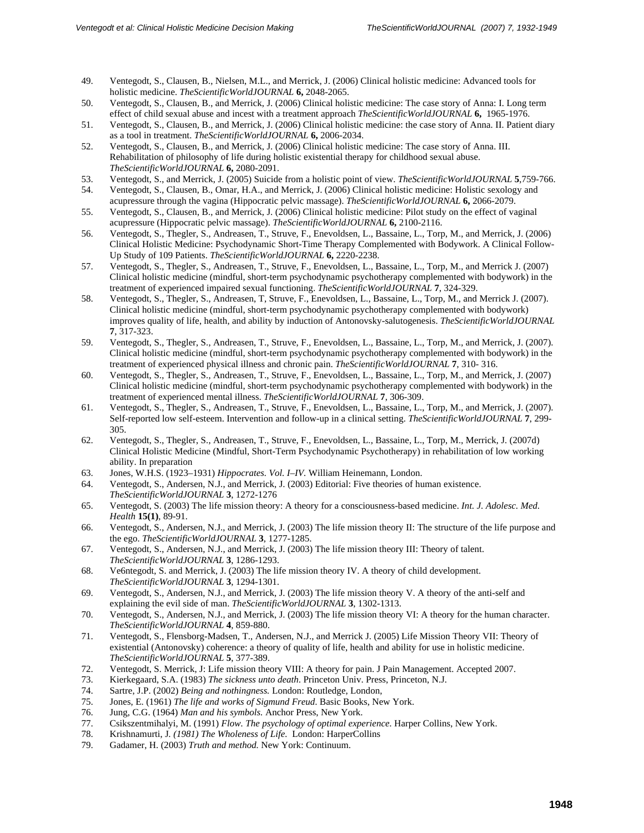- 49. Ventegodt, S., Clausen, B., Nielsen, M.L., and Merrick, J. (2006) Clinical holistic medicine: Advanced tools for holistic medicine. *TheScientificWorldJOURNAL* **6,** 2048-2065.
- 50. Ventegodt, S., Clausen, B., and Merrick, J. (2006) Clinical holistic medicine: The case story of Anna: I. Long term effect of child sexual abuse and incest with a treatment approach *TheScientificWorldJOURNAL* **6,** 1965-1976.
- 51. Ventegodt, S., Clausen, B., and Merrick, J. (2006) Clinical holistic medicine: the case story of Anna. II. Patient diary as a tool in treatment. *TheScientificWorldJOURNAL* **6,** 2006-2034.
- 52. Ventegodt, S., Clausen, B., and Merrick, J. (2006) Clinical holistic medicine: The case story of Anna. III. Rehabilitation of philosophy of life during holistic existential therapy for childhood sexual abuse. *TheScientificWorldJOURNAL* **6,** 2080-2091.
- 53. Ventegodt, S., and Merrick, J. (2005) Suicide from a holistic point of view. *TheScientificWorldJOURNAL* **5**,759-766.
- 54. Ventegodt, S., Clausen, B., Omar, H.A., and Merrick, J. (2006) Clinical holistic medicine: Holistic sexology and acupressure through the vagina (Hippocratic pelvic massage). *TheScientificWorldJOURNAL* **6,** 2066-2079.
- 55. Ventegodt, S., Clausen, B., and Merrick, J. (2006) Clinical holistic medicine: Pilot study on the effect of vaginal acupressure (Hippocratic pelvic massage). *TheScientificWorldJOURNAL* **6,** 2100-2116.
- 56. Ventegodt, S., Thegler, S., Andreasen, T., Struve, F., Enevoldsen, L., Bassaine, L., Torp, M., and Merrick, J. (2006) Clinical Holistic Medicine: Psychodynamic Short-Time Therapy Complemented with Bodywork. A Clinical Follow-Up Study of 109 Patients. *TheScientificWorldJOURNAL* **6,** 2220-2238.
- 57. Ventegodt, S., Thegler, S., Andreasen, T., Struve, F., Enevoldsen, L., Bassaine, L., Torp, M., and Merrick J. (2007) Clinical holistic medicine (mindful, short-term psychodynamic psychotherapy complemented with bodywork) in the treatment of experienced impaired sexual functioning. *TheScientificWorldJOURNAL* **7**, 324-329.
- 58. Ventegodt, S., Thegler, S., Andreasen, T, Struve, F., Enevoldsen, L., Bassaine, L., Torp, M., and Merrick J. (2007). Clinical holistic medicine (mindful, short-term psychodynamic psychotherapy complemented with bodywork) improves quality of life, health, and ability by induction of Antonovsky-salutogenesis. *TheScientificWorldJOURNAL*  **7**, 317-323.
- 59. Ventegodt, S., Thegler, S., Andreasen, T., Struve, F., Enevoldsen, L., Bassaine, L., Torp, M., and Merrick, J. (2007). Clinical holistic medicine (mindful, short-term psychodynamic psychotherapy complemented with bodywork) in the treatment of experienced physical illness and chronic pain. *TheScientificWorldJOURNAL* **7**, 310- 316.
- 60. Ventegodt, S., Thegler, S., Andreasen, T., Struve, F., Enevoldsen, L., Bassaine, L., Torp, M., and Merrick, J. (2007) Clinical holistic medicine (mindful, short-term psychodynamic psychotherapy complemented with bodywork) in the treatment of experienced mental illness. *TheScientificWorldJOURNAL* **7**, 306-309.
- 61. Ventegodt, S., Thegler, S., Andreasen, T., Struve, F., Enevoldsen, L., Bassaine, L., Torp, M., and Merrick, J. (2007). Self-reported low self-esteem. Intervention and follow-up in a clinical setting. *TheScientificWorldJOURNAL* **7**, 299- 305.
- 62. Ventegodt, S., Thegler, S., Andreasen, T., Struve, F., Enevoldsen, L., Bassaine, L., Torp, M., Merrick, J. (2007d) Clinical Holistic Medicine (Mindful, Short-Term Psychodynamic Psychotherapy) in rehabilitation of low working ability. In preparation
- 63. Jones, W.H.S. (1923–1931) *Hippocrates. Vol. I–IV.* William Heinemann, London.
- 64. Ventegodt, S., Andersen, N.J., and Merrick, J. (2003) Editorial: Five theories of human existence. *TheScientificWorldJOURNAL* **3**, 1272-1276
- 65. Ventegodt, S. (2003) The life mission theory: A theory for a consciousness-based medicine. *Int. J. Adolesc. Med. Health* **15(1)**, 89-91.
- 66. Ventegodt, S., Andersen, N.J., and Merrick, J. (2003) The life mission theory II: The structure of the life purpose and the ego. *TheScientificWorldJOURNAL* **3**, 1277-1285.
- 67. Ventegodt, S., Andersen, N.J., and Merrick, J. (2003) The life mission theory III: Theory of talent. *TheScientificWorldJOURNAL* **3**, 1286-1293.
- 68. Ve6ntegodt, S. and Merrick, J. (2003) The life mission theory IV. A theory of child development. *TheScientificWorldJOURNAL* **3**, 1294-1301.
- 69. Ventegodt, S., Andersen, N.J., and Merrick, J. (2003) The life mission theory V. A theory of the anti-self and explaining the evil side of man. *TheScientificWorldJOURNAL* **3**, 1302-1313.
- 70. Ventegodt, S., Andersen, N.J., and Merrick, J. (2003) The life mission theory VI: A theory for the human character. *TheScientificWorldJOURNAL* **4**, 859-880.
- 71. Ventegodt, S., Flensborg-Madsen, T., Andersen, N.J., and Merrick J. (2005) Life Mission Theory VII: Theory of existential (Antonovsky) coherence: a theory of quality of life, health and ability for use in holistic medicine. *TheScientificWorldJOURNAL* **5**, 377-389.
- 72. Ventegodt, S. Merrick, J: Life mission theory VIII: A theory for pain. J Pain Management. Accepted 2007.
- 73. Kierkegaard, S.A. (1983) *The sickness unto death*. Princeton Univ. Press, Princeton, N.J.
- 74. Sartre, J.P. (2002) *Being and nothingness.* London: Routledge, London,
- 75. Jones, E. (1961) *The life and works of Sigmund Freud*. Basic Books, New York.
- 76. Jung, C.G. (1964) *Man and his symbols.* Anchor Press, New York.
- 77. Csikszentmihalyi, M. (1991) *Flow. The psychology of optimal experience.* Harper Collins, New York.
- 78. Krishnamurti, J*. (1981) The Wholeness of Life.* London: HarperCollins
- 79. Gadamer, H. (2003) *Truth and method.* New York: Continuum.